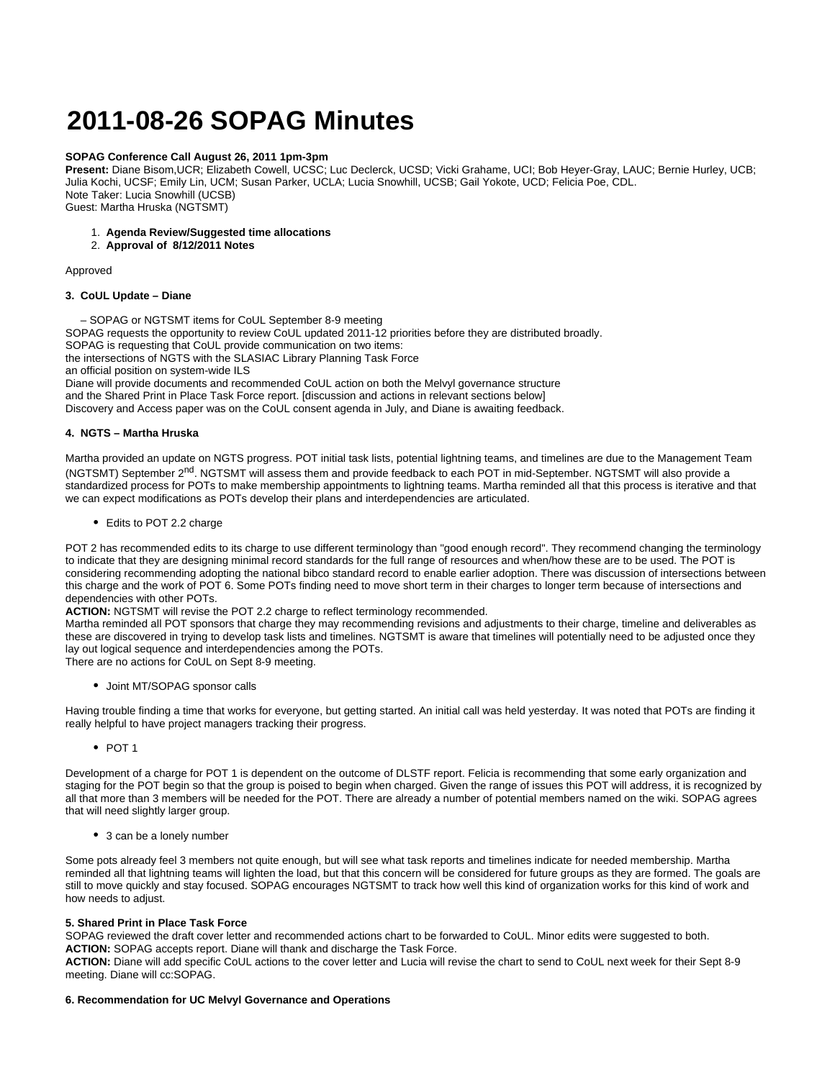# **2011-08-26 SOPAG Minutes**

### **SOPAG Conference Call August 26, 2011 1pm-3pm**

**Present:** Diane Bisom,UCR; Elizabeth Cowell, UCSC; Luc Declerck, UCSD; Vicki Grahame, UCI; Bob Heyer-Gray, LAUC; Bernie Hurley, UCB; Julia Kochi, UCSF; Emily Lin, UCM; Susan Parker, UCLA; Lucia Snowhill, UCSB; Gail Yokote, UCD; Felicia Poe, CDL. Note Taker: Lucia Snowhill (UCSB) Guest: Martha Hruska (NGTSMT)

## 1. **Agenda Review/Suggested time allocations**

2. **Approval of 8/12/2011 Notes** 

### Approved

### **3. CoUL Update – Diane**

 – SOPAG or NGTSMT items for CoUL September 8-9 meeting SOPAG requests the opportunity to review CoUL updated 2011-12 priorities before they are distributed broadly. SOPAG is requesting that CoUL provide communication on two items: the intersections of NGTS with the SLASIAC Library Planning Task Force an official position on system-wide ILS Diane will provide documents and recommended CoUL action on both the Melvyl governance structure and the Shared Print in Place Task Force report. [discussion and actions in relevant sections below]

Discovery and Access paper was on the CoUL consent agenda in July, and Diane is awaiting feedback.

# **4. NGTS – Martha Hruska**

Martha provided an update on NGTS progress. POT initial task lists, potential lightning teams, and timelines are due to the Management Team (NGTSMT) September 2<sup>nd</sup>. NGTSMT will assess them and provide feedback to each POT in mid-September. NGTSMT will also provide a standardized process for POTs to make membership appointments to lightning teams. Martha reminded all that this process is iterative and that we can expect modifications as POTs develop their plans and interdependencies are articulated.

• Edits to POT 2.2 charge

POT 2 has recommended edits to its charge to use different terminology than "good enough record". They recommend changing the terminology to indicate that they are designing minimal record standards for the full range of resources and when/how these are to be used. The POT is considering recommending adopting the national bibco standard record to enable earlier adoption. There was discussion of intersections between this charge and the work of POT 6. Some POTs finding need to move short term in their charges to longer term because of intersections and dependencies with other POTs.

#### **ACTION:** NGTSMT will revise the POT 2.2 charge to reflect terminology recommended.

Martha reminded all POT sponsors that charge they may recommending revisions and adjustments to their charge, timeline and deliverables as these are discovered in trying to develop task lists and timelines. NGTSMT is aware that timelines will potentially need to be adjusted once they lay out logical sequence and interdependencies among the POTs.

There are no actions for CoUL on Sept 8-9 meeting.

Joint MT/SOPAG sponsor calls

Having trouble finding a time that works for everyone, but getting started. An initial call was held yesterday. It was noted that POTs are finding it really helpful to have project managers tracking their progress.

 $•$  POT 1

Development of a charge for POT 1 is dependent on the outcome of DLSTF report. Felicia is recommending that some early organization and staging for the POT begin so that the group is poised to begin when charged. Given the range of issues this POT will address, it is recognized by all that more than 3 members will be needed for the POT. There are already a number of potential members named on the wiki. SOPAG agrees that will need slightly larger group.

• 3 can be a lonely number

Some pots already feel 3 members not quite enough, but will see what task reports and timelines indicate for needed membership. Martha reminded all that lightning teams will lighten the load, but that this concern will be considered for future groups as they are formed. The goals are still to move quickly and stay focused. SOPAG encourages NGTSMT to track how well this kind of organization works for this kind of work and how needs to adjust.

#### **5. Shared Print in Place Task Force**

SOPAG reviewed the draft cover letter and recommended actions chart to be forwarded to CoUL. Minor edits were suggested to both. **ACTION:** SOPAG accepts report. Diane will thank and discharge the Task Force.

**ACTION:** Diane will add specific CoUL actions to the cover letter and Lucia will revise the chart to send to CoUL next week for their Sept 8-9 meeting. Diane will cc:SOPAG.

# **6. Recommendation for UC Melvyl Governance and Operations**